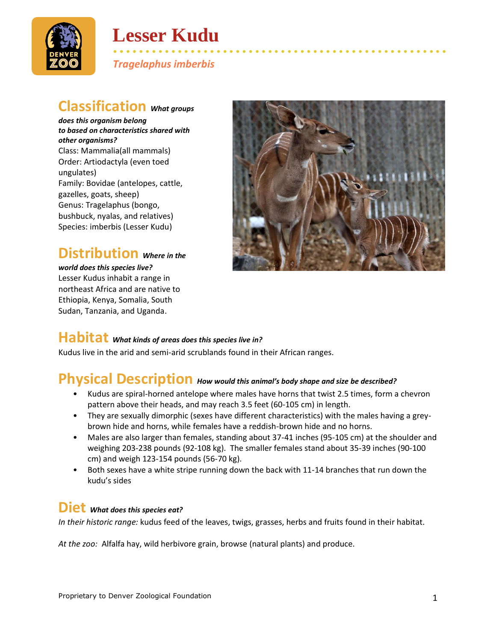

## **Lesser Kudu**

• • • • • • • • • • • • • • • • • • • • • • • • • • • • • • • • • • • • • • • • • • • • • • • • • • • • *Tragelaphus imberbis*

## **Classification** *What groups*

*does this organism belong to based on characteristics shared with other organisms?* Class: Mammalia(all mammals) Order: Artiodactyla (even toed ungulates) Family: Bovidae (antelopes, cattle, gazelles, goats, sheep) Genus: Tragelaphus (bongo, bushbuck, nyalas, and relatives) Species: imberbis (Lesser Kudu)

## **Distribution** *Where in the*

*world does this species live?* Lesser Kudus inhabit a range in northeast Africa and are native to Ethiopia, Kenya, Somalia, South Sudan, Tanzania, and Uganda.



#### **Habitat** *What kinds of areas does this species live in?*

Kudus live in the arid and semi-arid scrublands found in their African ranges.

## **Physical Description** *How would this animal's body shape and size be described?*

- Kudus are spiral-horned antelope where males have horns that twist 2.5 times, form a chevron pattern above their heads, and may reach 3.5 feet (60-105 cm) in length.
- They are sexually dimorphic (sexes have different characteristics) with the males having a greybrown hide and horns, while females have a reddish-brown hide and no horns.
- Males are also larger than females, standing about 37-41 inches (95-105 cm) at the shoulder and weighing 203-238 pounds (92-108 kg). The smaller females stand about 35-39 inches (90-100 cm) and weigh 123-154 pounds (56-70 kg).
- Both sexes have a white stripe running down the back with 11-14 branches that run down the kudu's sides

#### **Diet** *What does this species eat?*

*In their historic range:* kudus feed of the leaves, twigs, grasses, herbs and fruits found in their habitat.

*At the zoo:* Alfalfa hay, wild herbivore grain, browse (natural plants) and produce.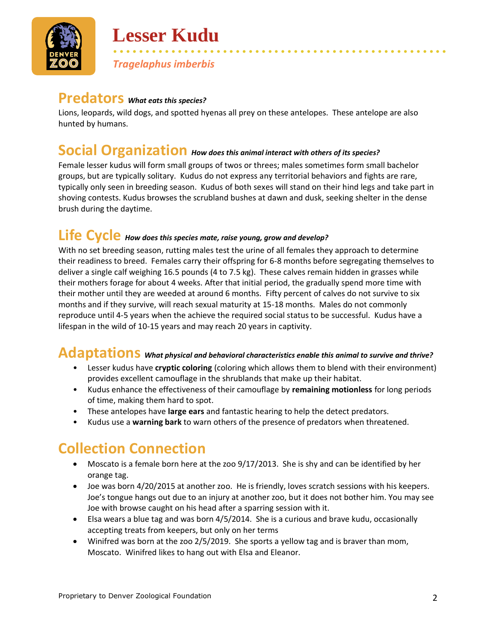

# **Lesser Kudu**

*Tragelaphus imberbis*

#### **Predators** *What eats this species?*

Lions, leopards, wild dogs, and spotted hyenas all prey on these antelopes. These antelope are also hunted by humans.

• • • • • • • • • • • • • • • • • • • • • • • • • • • • • • • • • • • • • • • • • • • • • • • • • • • •

## **Social Organization** *How does this animal interact with others of its species?*

Female lesser kudus will form small groups of twos or threes; males sometimes form small bachelor groups, but are typically solitary. Kudus do not express any territorial behaviors and fights are rare, typically only seen in breeding season. Kudus of both sexes will stand on their hind legs and take part in shoving contests. Kudus browses the scrubland bushes at dawn and dusk, seeking shelter in the dense brush during the daytime.

## **Life Cycle** *How does this species mate, raise young, grow and develop?*

With no set breeding season, rutting males test the urine of all females they approach to determine their readiness to breed. Females carry their offspring for 6-8 months before segregating themselves to deliver a single calf weighing 16.5 pounds (4 to 7.5 kg). These calves remain hidden in grasses while their mothers forage for about 4 weeks. After that initial period, the gradually spend more time with their mother until they are weeded at around 6 months. Fifty percent of calves do not survive to six months and if they survive, will reach sexual maturity at 15-18 months. Males do not commonly reproduce until 4-5 years when the achieve the required social status to be successful. Kudus have a lifespan in the wild of 10-15 years and may reach 20 years in captivity.

#### **Adaptations** *What physical and behavioral characteristics enable this animal to survive and thrive?*

- Lesser kudus have **cryptic coloring** (coloring which allows them to blend with their environment) provides excellent camouflage in the shrublands that make up their habitat.
- Kudus enhance the effectiveness of their camouflage by **remaining motionless** for long periods of time, making them hard to spot.
- These antelopes have **large ears** and fantastic hearing to help the detect predators.
- Kudus use a **warning bark** to warn others of the presence of predators when threatened.

## **Collection Connection**

- Moscato is a female born here at the zoo 9/17/2013. She is shy and can be identified by her orange tag.
- Joe was born 4/20/2015 at another zoo. He is friendly, loves scratch sessions with his keepers. Joe's tongue hangs out due to an injury at another zoo, but it does not bother him. You may see Joe with browse caught on his head after a sparring session with it.
- Elsa wears a blue tag and was born 4/5/2014. She is a curious and brave kudu, occasionally accepting treats from keepers, but only on her terms
- Winifred was born at the zoo 2/5/2019. She sports a yellow tag and is braver than mom, Moscato. Winifred likes to hang out with Elsa and Eleanor.